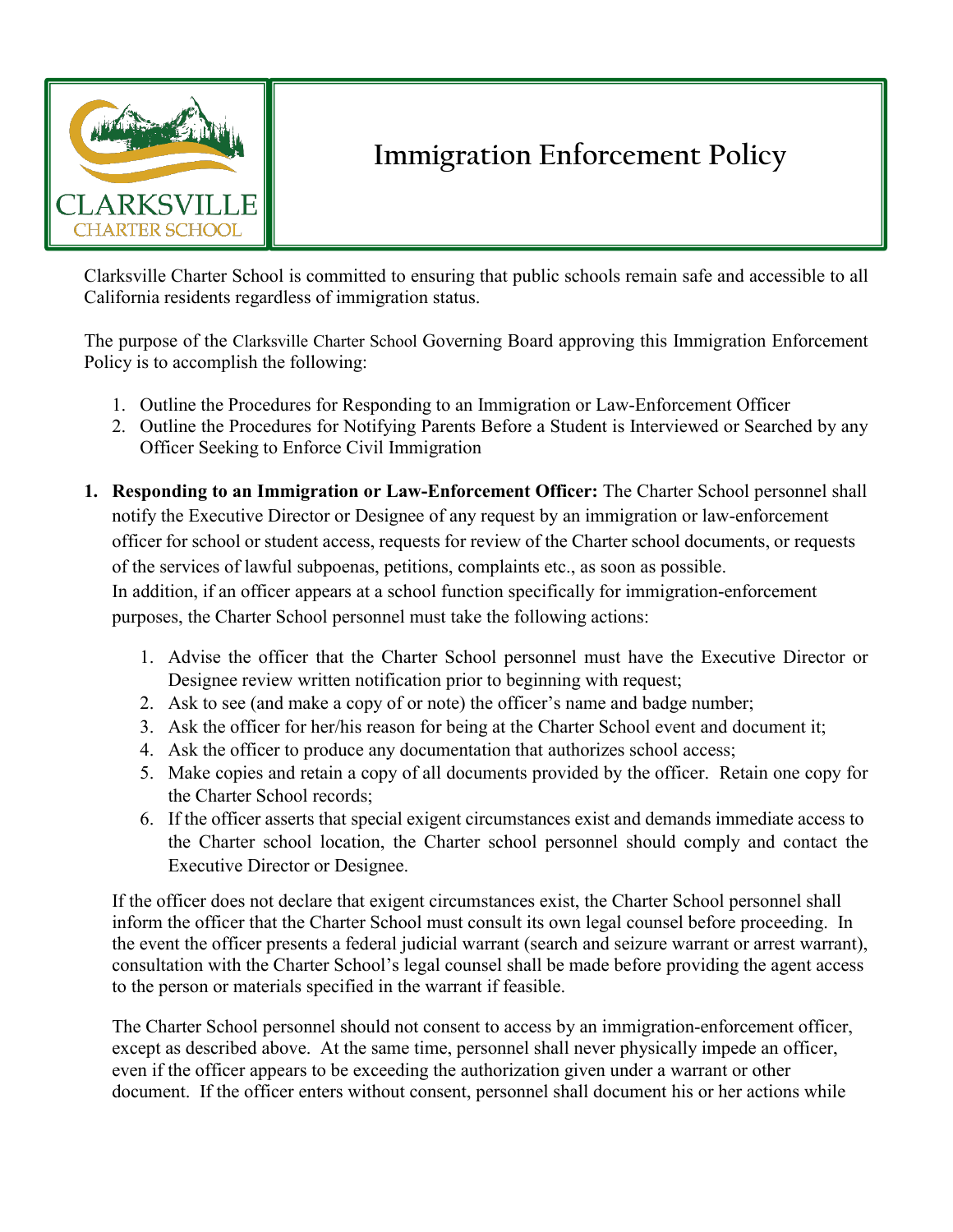

## **Immigration Enforcement Policy**

Clarksville Charter School is committed to ensuring that public schools remain safe and accessible to all California residents regardless of immigration status.

The purpose of the Clarksville Charter School Governing Board approving this Immigration Enforcement Policy is to accomplish the following:

- 1. Outline the Procedures for Responding to an Immigration or Law-Enforcement Officer
- 2. Outline the Procedures for Notifying Parents Before a Student is Interviewed or Searched by any Officer Seeking to Enforce Civil Immigration
- **1. Responding to an Immigration or Law-Enforcement Officer:** The Charter School personnel shall notify the Executive Director or Designee of any request by an immigration or law-enforcement officer for school or student access, requests for review of the Charter school documents, or requests of the services of lawful subpoenas, petitions, complaints etc., as soon as possible. In addition, if an officer appears at a school function specifically for immigration-enforcement purposes, the Charter School personnel must take the following actions:
	- 1. Advise the officer that the Charter School personnel must have the Executive Director or Designee review written notification prior to beginning with request;
	- 2. Ask to see (and make a copy of or note) the officer's name and badge number;
	- 3. Ask the officer for her/his reason for being at the Charter School event and document it;
	- 4. Ask the officer to produce any documentation that authorizes school access;
	- 5. Make copies and retain a copy of all documents provided by the officer. Retain one copy for the Charter School records;
	- 6. If the officer asserts that special exigent circumstances exist and demands immediate access to the Charter school location, the Charter school personnel should comply and contact the Executive Director or Designee.

If the officer does not declare that exigent circumstances exist, the Charter School personnel shall inform the officer that the Charter School must consult its own legal counsel before proceeding. In the event the officer presents a federal judicial warrant (search and seizure warrant or arrest warrant), consultation with the Charter School's legal counsel shall be made before providing the agent access to the person or materials specified in the warrant if feasible.

The Charter School personnel should not consent to access by an immigration-enforcement officer, except as described above. At the same time, personnel shall never physically impede an officer, even if the officer appears to be exceeding the authorization given under a warrant or other document. If the officer enters without consent, personnel shall document his or her actions while